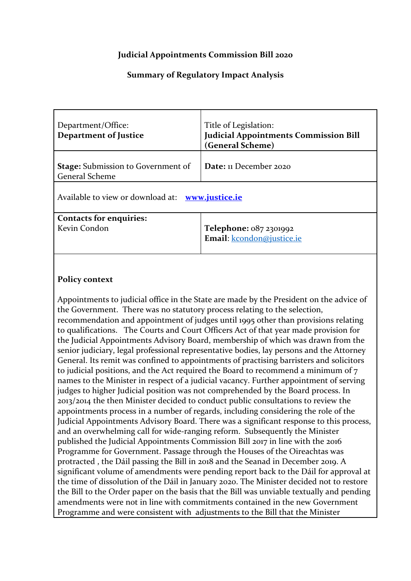# **Judicial Appointments Commission Bill 2020**

# **Summary of Regulatory Impact Analysis**

| Department/Office:<br><b>Department of Justice</b>                 | Title of Legislation:<br><b>Judicial Appointments Commission Bill</b><br>(General Scheme) |  |  |
|--------------------------------------------------------------------|-------------------------------------------------------------------------------------------|--|--|
| <b>Stage:</b> Submission to Government of<br><b>General Scheme</b> | Date: 11 December 2020                                                                    |  |  |
| Available to view or download at: www.justice.ie                   |                                                                                           |  |  |
| <b>Contacts for enquiries:</b><br>Kevin Condon                     | Telephone: 087 2301992<br>Email: kcondon@justice.ie                                       |  |  |

# **Policy context**

Appointments to judicial office in the State are made by the President on the advice of the Government. There was no statutory process relating to the selection, recommendation and appointment of judges until 1995 other than provisions relating to qualifications. The Courts and Court Officers Act of that year made provision for the Judicial Appointments Advisory Board, membership of which was drawn from the senior judiciary, legal professional representative bodies, lay persons and the Attorney General. Its remit was confined to appointments of practising barristers and solicitors to judicial positions, and the Act required the Board to recommend a minimum of 7 names to the Minister in respect of a judicial vacancy. Further appointment of serving judges to higher Judicial position was not comprehended by the Board process. In 2013/2014 the then Minister decided to conduct public consultations to review the appointments process in a number of regards, including considering the role of the Judicial Appointments Advisory Board. There was a significant response to this process, and an overwhelming call for wide-ranging reform. Subsequently the Minister published the Judicial Appointments Commission Bill 2017 in line with the 2016 Programme for Government. Passage through the Houses of the Oireachtas was protracted , the Dáil passing the Bill in 2018 and the Seanad in December 2019. A significant volume of amendments were pending report back to the Dáil for approval at the time of dissolution of the Dáil in January 2020. The Minister decided not to restore the Bill to the Order paper on the basis that the Bill was unviable textually and pending amendments were not in line with commitments contained in the new Government Programme and were consistent with adjustments to the Bill that the Minister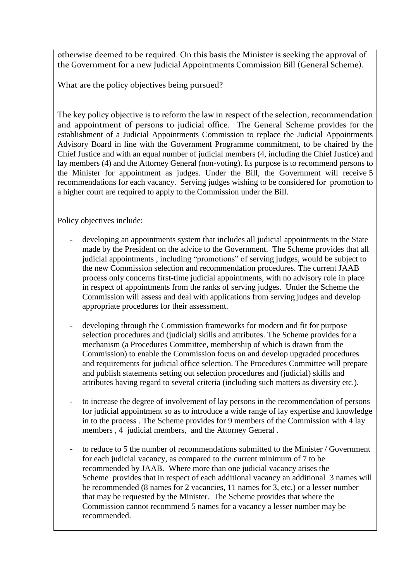otherwise deemed to be required. On this basis the Minister is seeking the approval of the Government for a new Judicial Appointments Commission Bill (General Scheme).

What are the policy objectives being pursued?

The key policy objective is to reform the law in respect of the selection, recommendation and appointment of persons to judicial office. The General Scheme provides for the establishment of a Judicial Appointments Commission to replace the Judicial Appointments Advisory Board in line with the Government Programme commitment, to be chaired by the Chief Justice and with an equal number of judicial members (4, including the Chief Justice) and lay members (4) and the Attorney General (non-voting). Its purpose is to recommend persons to the Minister for appointment as judges. Under the Bill, the Government will receive 5 recommendations for each vacancy. Serving judges wishing to be considered for promotion to a higher court are required to apply to the Commission under the Bill.

Policy objectives include:

- developing an appointments system that includes all judicial appointments in the State made by the President on the advice to the Government. The Scheme provides that all judicial appointments , including "promotions" of serving judges, would be subject to the new Commission selection and recommendation procedures. The current JAAB process only concerns first-time judicial appointments, with no advisory role in place in respect of appointments from the ranks of serving judges. Under the Scheme the Commission will assess and deal with applications from serving judges and develop appropriate procedures for their assessment.
- developing through the Commission frameworks for modern and fit for purpose selection procedures and (judicial) skills and attributes. The Scheme provides for a mechanism (a Procedures Committee, membership of which is drawn from the Commission) to enable the Commission focus on and develop upgraded procedures and requirements for judicial office selection. The Procedures Committee will prepare and publish statements setting out selection procedures and (judicial) skills and attributes having regard to several criteria (including such matters as diversity etc.).
- to increase the degree of involvement of lay persons in the recommendation of persons for judicial appointment so as to introduce a wide range of lay expertise and knowledge in to the process . The Scheme provides for 9 members of the Commission with 4 lay members , 4 judicial members, and the Attorney General .
- to reduce to 5 the number of recommendations submitted to the Minister / Government for each judicial vacancy, as compared to the current minimum of 7 to be recommended by JAAB. Where more than one judicial vacancy arises the Scheme provides that in respect of each additional vacancy an additional 3 names will be recommended (8 names for 2 vacancies, 11 names for 3, etc.) or a lesser number that may be requested by the Minister. The Scheme provides that where the Commission cannot recommend 5 names for a vacancy a lesser number may be recommended.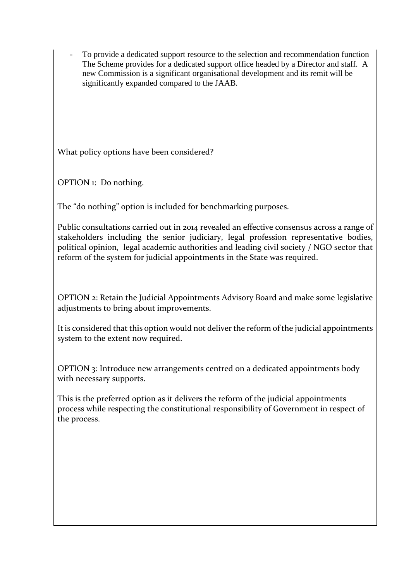To provide a dedicated support resource to the selection and recommendation function The Scheme provides for a dedicated support office headed by a Director and staff. A new Commission is a significant organisational development and its remit will be significantly expanded compared to the JAAB.

What policy options have been considered?

OPTION 1: Do nothing.

The "do nothing" option is included for benchmarking purposes.

Public consultations carried out in 2014 revealed an effective consensus across a range of stakeholders including the senior judiciary, legal profession representative bodies, political opinion, legal academic authorities and leading civil society / NGO sector that reform of the system for judicial appointments in the State was required.

OPTION 2: Retain the Judicial Appointments Advisory Board and make some legislative adjustments to bring about improvements.

It is considered that this option would not deliver the reform of the judicial appointments system to the extent now required.

OPTION 3: Introduce new arrangements centred on a dedicated appointments body with necessary supports.

This is the preferred option as it delivers the reform of the judicial appointments process while respecting the constitutional responsibility of Government in respect of the process.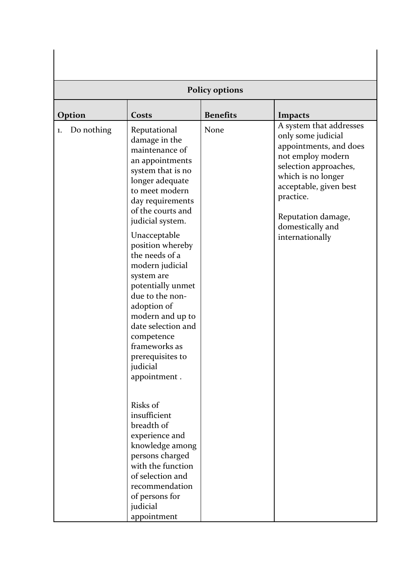| <b>Policy options</b> |                                                                                                                                                                                                                                                                                                                                                                                                                                                                                                                                                                                                                                                                            |                 |                                                                                                                                                                                                                                                 |  |  |  |
|-----------------------|----------------------------------------------------------------------------------------------------------------------------------------------------------------------------------------------------------------------------------------------------------------------------------------------------------------------------------------------------------------------------------------------------------------------------------------------------------------------------------------------------------------------------------------------------------------------------------------------------------------------------------------------------------------------------|-----------------|-------------------------------------------------------------------------------------------------------------------------------------------------------------------------------------------------------------------------------------------------|--|--|--|
| Option                | Costs                                                                                                                                                                                                                                                                                                                                                                                                                                                                                                                                                                                                                                                                      | <b>Benefits</b> | <b>Impacts</b>                                                                                                                                                                                                                                  |  |  |  |
| Do nothing<br>1.      | Reputational<br>damage in the<br>maintenance of<br>an appointments<br>system that is no<br>longer adequate<br>to meet modern<br>day requirements<br>of the courts and<br>judicial system.<br>Unacceptable<br>position whereby<br>the needs of a<br>modern judicial<br>system are<br>potentially unmet<br>due to the non-<br>adoption of<br>modern and up to<br>date selection and<br>competence<br>frameworks as<br>prerequisites to<br>judicial<br>appointment.<br>Risks of<br>insufficient<br>breadth of<br>experience and<br>knowledge among<br>persons charged<br>with the function<br>of selection and<br>recommendation<br>of persons for<br>judicial<br>appointment | None            | A system that addresses<br>only some judicial<br>appointments, and does<br>not employ modern<br>selection approaches,<br>which is no longer<br>acceptable, given best<br>practice.<br>Reputation damage,<br>domestically and<br>internationally |  |  |  |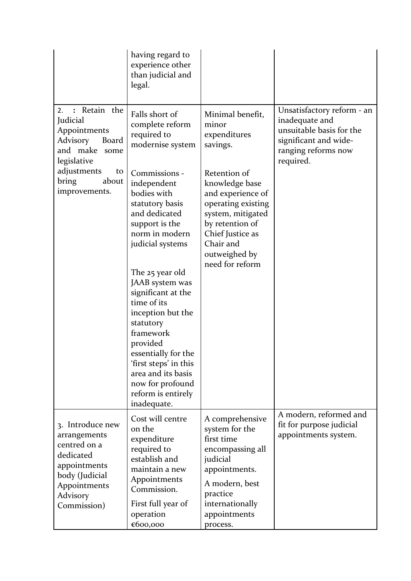|                                                                                                                                            | having regard to<br>experience other<br>than judicial and<br>legal.                                                                                                                                                                                                                                                                                                                                          |                                                                                                                                                                                        |                                                                                                                                       |
|--------------------------------------------------------------------------------------------------------------------------------------------|--------------------------------------------------------------------------------------------------------------------------------------------------------------------------------------------------------------------------------------------------------------------------------------------------------------------------------------------------------------------------------------------------------------|----------------------------------------------------------------------------------------------------------------------------------------------------------------------------------------|---------------------------------------------------------------------------------------------------------------------------------------|
| : Retain the<br>2.<br>Judicial<br>Appointments<br>Advisory<br>Board<br>and make<br>some<br>legislative                                     | Falls short of<br>complete reform<br>required to<br>modernise system                                                                                                                                                                                                                                                                                                                                         | Minimal benefit,<br>minor<br>expenditures<br>savings.                                                                                                                                  | Unsatisfactory reform - an<br>inadequate and<br>unsuitable basis for the<br>significant and wide-<br>ranging reforms now<br>required. |
| adjustments<br>to<br>about<br>bring<br>improvements.                                                                                       | Commissions -<br>independent<br>bodies with<br>statutory basis<br>and dedicated<br>support is the<br>norm in modern<br>judicial systems<br>The 25 year old<br>JAAB system was<br>significant at the<br>time of its<br>inception but the<br>statutory<br>framework<br>provided<br>essentially for the<br>'first steps' in this<br>area and its basis<br>now for profound<br>reform is entirely<br>inadequate. | Retention of<br>knowledge base<br>and experience of<br>operating existing<br>system, mitigated<br>by retention of<br>Chief Justice as<br>Chair and<br>outweighed by<br>need for reform |                                                                                                                                       |
| 3. Introduce new<br>arrangements<br>centred on a<br>dedicated<br>appointments<br>body (Judicial<br>Appointments<br>Advisory<br>Commission) | Cost will centre<br>on the<br>expenditure<br>required to<br>establish and<br>maintain a new<br>Appointments<br>Commission.<br>First full year of<br>operation<br>€600,000                                                                                                                                                                                                                                    | A comprehensive<br>system for the<br>first time<br>encompassing all<br>judicial<br>appointments.<br>A modern, best<br>practice<br>internationally<br>appointments<br>process.          | A modern, reformed and<br>fit for purpose judicial<br>appointments system.                                                            |